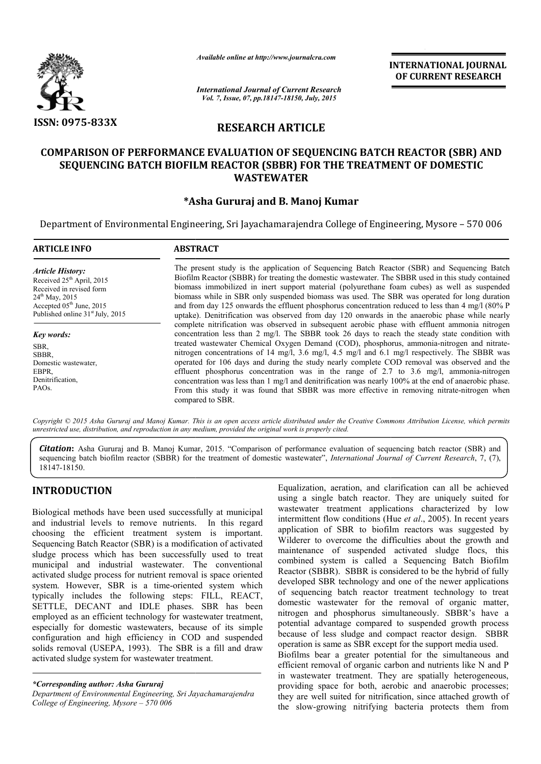

*Available online at http://www.journalcra.com*

INTERNATIONAL INTERNATIONAL JOURNAL OF CURRENT RESEARCH

*International Journal of Current Research Vol. 7, Issue, 07, pp.18147-18150, July, 2015*

# RESEARCH ARTICLE

# COMPARISON OF PERFORMANCE EVALUATION OF SEQUENCING BATCH REACTOR (SBR) AND SEQUENCING BATCH BIOFILM REACTOR (SBBR) FOR THE TREATMENT OF DOMESTIC SEQUENCING WASTEWATER

# \*Asha Gururaj and B. Manoj Kumar

Department of Environmental Engineering, Sri Jayachamarajendra College of Engineering, Mysore - 570 006

| <b>ARTICLE INFO</b>                                                                                                                                                                                                | <b>ABSTRACT</b>                                                                                                                                                                                                                                                                                                                                                                                                                                                                                                                                                                                                                                                                                                                                                                                               |
|--------------------------------------------------------------------------------------------------------------------------------------------------------------------------------------------------------------------|---------------------------------------------------------------------------------------------------------------------------------------------------------------------------------------------------------------------------------------------------------------------------------------------------------------------------------------------------------------------------------------------------------------------------------------------------------------------------------------------------------------------------------------------------------------------------------------------------------------------------------------------------------------------------------------------------------------------------------------------------------------------------------------------------------------|
| <b>Article History:</b><br>Received 25 <sup>th</sup> April, 2015<br>Received in revised form<br>$24^{\text{th}}$ May, 2015<br>Accepted 05 <sup>th</sup> June, 2015<br>Published online 31 <sup>st</sup> July, 2015 | The present study is the application of Sequencing Batch Reactor (SBR) and Sequencing Batch<br>Biofilm Reactor (SBBR) for treating the domestic wastewater. The SBBR used in this study contained<br>biomass immobilized in inert support material (polyurethane foam cubes) as well as suspended<br>biomass while in SBR only suspended biomass was used. The SBR was operated for long duration<br>and from day 125 onwards the effluent phosphorus concentration reduced to less than 4 mg/l (80% P)<br>uptake). Denitrification was observed from day 120 onwards in the anaerobic phase while nearly<br>complete nitrification was observed in subsequent aerobic phase with effluent ammonia nitrogen<br>concentration less than 2 mg/l. The SBBR took 26 days to reach the steady state condition with |
| Key words:                                                                                                                                                                                                         |                                                                                                                                                                                                                                                                                                                                                                                                                                                                                                                                                                                                                                                                                                                                                                                                               |
| SBR.<br>SBBR.<br>Domestic wastewater,<br>EBPR,<br>Denitrification.<br>PAO <sub>s</sub> .                                                                                                                           | treated wastewater Chemical Oxygen Demand (COD), phosphorus, ammonia-nitrogen and nitrate-<br>nitrogen concentrations of 14 mg/l, 3.6 mg/l, 4.5 mg/l and 6.1 mg/l respectively. The SBBR was<br>operated for 106 days and during the study nearly complete COD removal was observed and the<br>effluent phosphorus concentration was in the range of 2.7 to 3.6 mg/l, ammonia-nitrogen<br>concentration was less than 1 mg/l and denitrification was nearly 100% at the end of anaerobic phase.<br>From this study it was found that SBBR was more effective in removing nitrate-nitrogen when<br>compared to SBR.                                                                                                                                                                                            |

Copyright © 2015 Asha Gururaj and Manoj Kumar. This is an open access article distributed under the Creative Commons Attribution License, which permits *unrestricted use, distribution, and reproduction in any medium, provided the original work is properly cited.*

Citation: Asha Gururaj and B. Manoj Kumar, 2015. "Comparison of performance evaluation of sequencing batch reactor (SBR) and sequencing batch biofilm reactor (SBBR) for the treatment of domestic wastewater", *International Journal of Current Research*, 7, (7), 18147-18150.

# INTRODUCTION

Biological methods have been used successfully at municipal and industrial levels to remove nutrients. In this regard choosing the efficient treatment system is important. Sequencing Batch Reactor (SBR) is a modification of activated sludge process which has been successfully used to treat municipal and industrial wastewater. The conventional activated sludge process for nutrient removal is space oriented system. However, SBR is a time-oriented system which typically includes the following steps: FILL, REACT, SETTLE, DECANT and IDLE phases. SBR has been employed as an efficient technology for wastewater treatment, especially for domestic wastewaters, because of its simple configuration and high efficiency in COD and suspended solids removal (USEPA, 1993). The SBR is a fill and draw activated sludge system for wastewater treatment. oriented system which<br>steps: FILL, REACT,<br>hases. SBR has been

*\*Corresponding author: Asha Gururaj*

*Department of Environmental Engineering, Sri Jayachamarajendra College of Engineering, Mysore – 570 006*

Equalization, aeration, and clarification can all be achieved<br>
is used integral a single batch reactor. They are uniquely suited for<br>
Is to remove nutrients. In this regard intermittent flow conditions characterized by low using a single batch reactor. They are uniquely suited for wastewater treatment applications characterized by low intermittent flow conditions (Hue et al., 2005). In recent years application of SBR to biofilm reactors was suggested by Wilderer to overcome the difficulties about the growth and maintenance of suspended activated sludge flocs, this combined system is called a Sequencing Batch Biofilm Reactor (SBBR). SBBR is considered to be the hybrid of fully developed SBR technology and one of the newer applications of sequencing batch reactor treatment technology to treat domestic wastewater for the removal of organic matter, nitrogen and phosphorus simultaneously. SBBR's have a potential advantage compared to suspended growth process because of less sludge and compact reactor design. SBBR operation is same as SBR except for the support media used. Biofilms bear a greater potential for the simultaneous and efficient removal of organic carbon and nutrients like N and P in wastewater treatment. They are spatially heterogeneous, providing space for both, aerobic and anaerobic processes; Equalization, aeration, and clarification can all be achieved using a single batch reactor. They are uniquely suited for wastewater treatment applications characterized by low intermittent flow conditions (Hue *et al.*, 20 In of SBR to biofilm reactors was suggested by<br>to overcome the difficulties about the growth and<br>ce of suspended activated sludge flocs, this<br>system is called a Sequencing Batch Biofilm<br>SBBR). SBBR is considered to be the developed SBR technology and one of the newer applications<br>of sequencing batch reactor treatment technology to treat<br>domestic wastewater for the removal of organic matter,<br>nitrogen and phosphorus simultaneously. SBBR's hav

they are well suited for nitrification, since attached growth of the slow-growing nitrifying bacteria protects them wastewater treatment. They are spatially heterogeneous, viding space for both, aerobic and anaerobic processes; y are well suited for nitrification, since attached growth of slow-growing nitrifying bacteria protects them f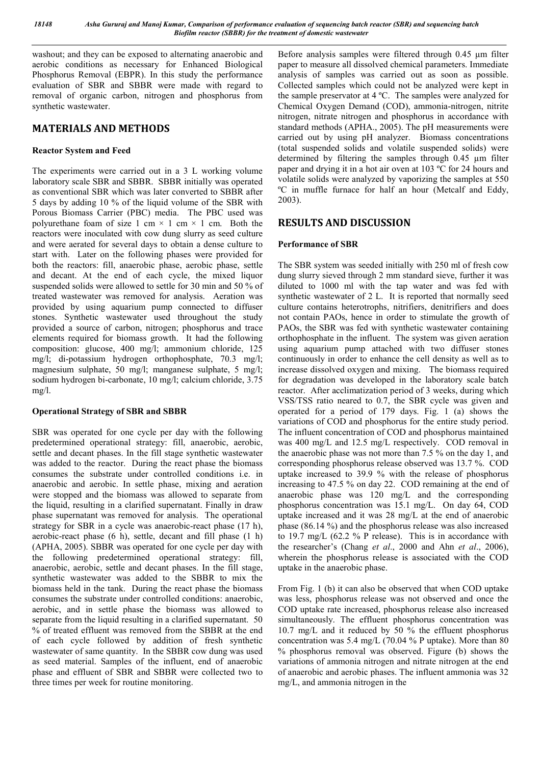washout; and they can be exposed to alternating anaerobic and aerobic conditions as necessary for Enhanced Biological Phosphorus Removal (EBPR). In this study the performance evaluation of SBR and SBBR were made with regard to removal of organic carbon, nitrogen and phosphorus from synthetic wastewater.

# MATERIALS AND METHODS

## Reactor System and Feed

The experiments were carried out in a 3 L working volume laboratory scale SBR and SBBR. SBBR initially was operated as conventional SBR which was later converted to SBBR after 5 days by adding 10 % of the liquid volume of the SBR with Porous Biomass Carrier (PBC) media. The PBC used was polyurethane foam of size 1 cm  $\times$  1 cm  $\times$  1 cm. Both the reactors were inoculated with cow dung slurry as seed culture and were aerated for several days to obtain a dense culture to start with. Later on the following phases were provided for both the reactors: fill, anaerobic phase, aerobic phase, settle and decant. At the end of each cycle, the mixed liquor suspended solids were allowed to settle for 30 min and 50 % of treated wastewater was removed for analysis. Aeration was provided by using aquarium pump connected to diffuser stones. Synthetic wastewater used throughout the study provided a source of carbon, nitrogen; phosphorus and trace elements required for biomass growth. It had the following composition: glucose, 400 mg/l; ammonium chloride, 125 mg/l; di-potassium hydrogen orthophosphate, 70.3 mg/l; magnesium sulphate, 50 mg/l; manganese sulphate, 5 mg/l; sodium hydrogen bi-carbonate, 10 mg/l; calcium chloride, 3.75 mg/l.

### Operational Strategy of SBR and SBBR

SBR was operated for one cycle per day with the following predetermined operational strategy: fill, anaerobic, aerobic, settle and decant phases. In the fill stage synthetic wastewater was added to the reactor. During the react phase the biomass consumes the substrate under controlled conditions i.e. in anaerobic and aerobic. In settle phase, mixing and aeration were stopped and the biomass was allowed to separate from the liquid, resulting in a clarified supernatant. Finally in draw phase supernatant was removed for analysis. The operational strategy for SBR in a cycle was anaerobic-react phase (17 h), aerobic-react phase (6 h), settle, decant and fill phase (1 h) (APHA, 2005). SBBR was operated for one cycle per day with the following predetermined operational strategy: fill, anaerobic, aerobic, settle and decant phases. In the fill stage, synthetic wastewater was added to the SBBR to mix the biomass held in the tank. During the react phase the biomass consumes the substrate under controlled conditions: anaerobic, aerobic, and in settle phase the biomass was allowed to separate from the liquid resulting in a clarified supernatant. 50 % of treated effluent was removed from the SBBR at the end of each cycle followed by addition of fresh synthetic wastewater of same quantity. In the SBBR cow dung was used as seed material. Samples of the influent, end of anaerobic phase and effluent of SBR and SBBR were collected two to three times per week for routine monitoring.

Before analysis samples were filtered through 0.45 µm filter paper to measure all dissolved chemical parameters. Immediate analysis of samples was carried out as soon as possible. Collected samples which could not be analyzed were kept in the sample preservator at 4 ºC. The samples were analyzed for Chemical Oxygen Demand (COD), ammonia-nitrogen, nitrite nitrogen, nitrate nitrogen and phosphorus in accordance with standard methods (APHA., 2005). The pH measurements were carried out by using pH analyzer. Biomass concentrations (total suspended solids and volatile suspended solids) were determined by filtering the samples through 0.45 µm filter paper and drying it in a hot air oven at 103 ºC for 24 hours and volatile solids were analyzed by vaporizing the samples at 550 ºC in muffle furnace for half an hour (Metcalf and Eddy, 2003).

# RESULTS AND DISCUSSION

### Performance of SBR

The SBR system was seeded initially with 250 ml of fresh cow dung slurry sieved through 2 mm standard sieve, further it was diluted to 1000 ml with the tap water and was fed with synthetic wastewater of 2 L. It is reported that normally seed culture contains heterotrophs, nitrifiers, denitrifiers and does not contain PAOs, hence in order to stimulate the growth of PAOs, the SBR was fed with synthetic wastewater containing orthophosphate in the influent. The system was given aeration using aquarium pump attached with two diffuser stones continuously in order to enhance the cell density as well as to increase dissolved oxygen and mixing. The biomass required for degradation was developed in the laboratory scale batch reactor. After acclimatization period of 3 weeks, during which VSS/TSS ratio neared to 0.7, the SBR cycle was given and operated for a period of 179 days. Fig. 1 (a) shows the variations of COD and phosphorus for the entire study period. The influent concentration of COD and phosphorus maintained was 400 mg/L and 12.5 mg/L respectively. COD removal in the anaerobic phase was not more than 7.5 % on the day 1, and corresponding phosphorus release observed was 13.7 %. COD uptake increased to 39.9 % with the release of phosphorus increasing to 47.5 % on day 22. COD remaining at the end of anaerobic phase was 120 mg/L and the corresponding phosphorus concentration was 15.1 mg/L. On day 64, COD uptake increased and it was 28 mg/L at the end of anaerobic phase (86.14 %) and the phosphorus release was also increased to 19.7 mg/L (62.2 % P release). This is in accordance with the researcher's (Chang *et al*., 2000 and Ahn *et al*., 2006), wherein the phosphorus release is associated with the COD uptake in the anaerobic phase.

From Fig. 1 (b) it can also be observed that when COD uptake was less, phosphorus release was not observed and once the COD uptake rate increased, phosphorus release also increased simultaneously. The effluent phosphorus concentration was 10.7 mg/L and it reduced by 50 % the effluent phosphorus concentration was 5.4 mg/L (70.04 % P uptake). More than 80 % phosphorus removal was observed. Figure (b) shows the variations of ammonia nitrogen and nitrate nitrogen at the end of anaerobic and aerobic phases. The influent ammonia was 32 mg/L, and ammonia nitrogen in the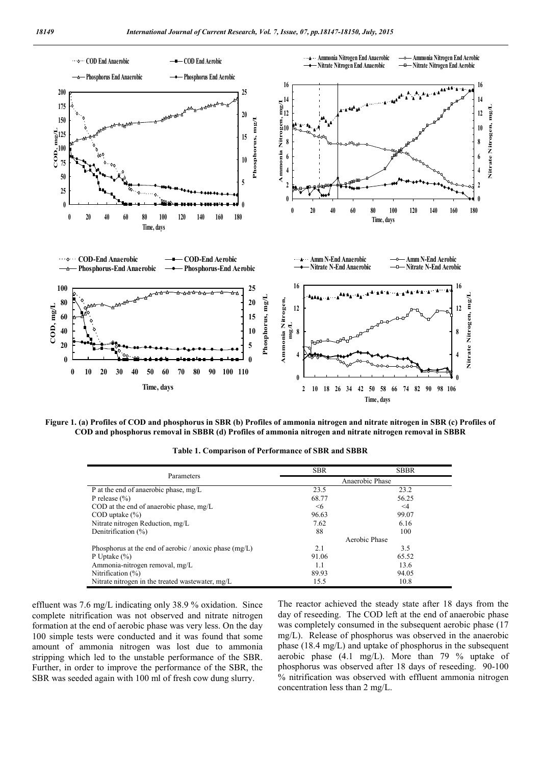

Figure 1. (a) Profiles of COD and phosphorus in SBR (b) Profiles of ammonia nitrogen and nitrate nitrogen in SBR (c) Profiles of COD and phosphorus removal in SBBR (d) Profiles of ammonia nitrogen and nitrate nitrogen removal in SBBR

| Parameters                                               | <b>SBR</b>      | <b>SBBR</b> |  |
|----------------------------------------------------------|-----------------|-------------|--|
|                                                          | Anaerobic Phase |             |  |
| P at the end of anaerobic phase, mg/L                    | 23.5            | 23.2        |  |
| P release $(\% )$                                        | 68.77           | 56.25       |  |
| COD at the end of anaerobic phase, $mg/L$                | $\leq 6$        | $\leq 4$    |  |
| $\text{COD}$ uptake $\left(\frac{9}{6}\right)$           | 96.63           | 99.07       |  |
| Nitrate nitrogen Reduction, mg/L                         | 7.62            | 6.16        |  |
| Denitrification (%)                                      | 88              | 100         |  |
|                                                          | Aerobic Phase   |             |  |
| Phosphorus at the end of aerobic / anoxic phase $(mg/L)$ | 2.1             | 3.5         |  |
| P Uptake $(\% )$                                         | 91.06           | 65.52       |  |
| Ammonia-nitrogen removal, mg/L                           | 1.1             | 13.6        |  |
| Nitrification $(\%)$                                     | 89.93           | 94.05       |  |
| Nitrate nitrogen in the treated wastewater, mg/L         | 15.5            | 10.8        |  |

Table 1. Comparison of Performance of SBR and SBBR

effluent was 7.6 mg/L indicating only 38.9 % oxidation. Since complete nitrification was not observed and nitrate nitrogen formation at the end of aerobic phase was very less. On the day 100 simple tests were conducted and it was found that some amount of ammonia nitrogen was lost due to ammonia stripping which led to the unstable performance of the SBR. Further, in order to improve the performance of the SBR, the SBR was seeded again with 100 ml of fresh cow dung slurry.

The reactor achieved the steady state after 18 days from the day of reseeding. The COD left at the end of anaerobic phase was completely consumed in the subsequent aerobic phase (17 mg/L). Release of phosphorus was observed in the anaerobic phase (18.4 mg/L) and uptake of phosphorus in the subsequent aerobic phase (4.1 mg/L). More than 79 % uptake of phosphorus was observed after 18 days of reseeding. 90-100 % nitrification was observed with effluent ammonia nitrogen concentration less than 2 mg/L.